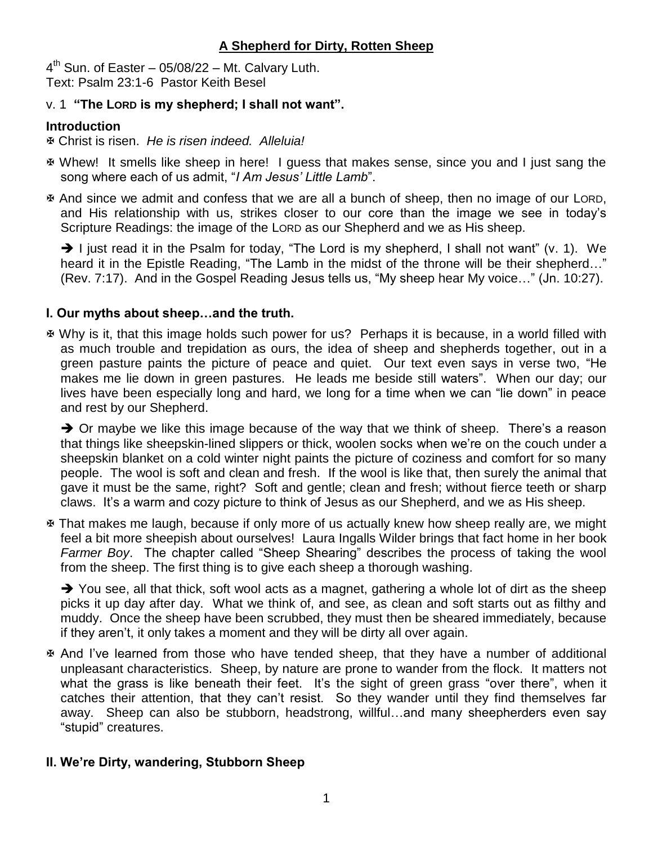$4<sup>th</sup>$  Sun. of Easter – 05/08/22 – Mt. Calvary Luth. Text: Psalm 23:1-6 Pastor Keith Besel

#### v. 1 **"The LORD is my shepherd; I shall not want".**

# **Introduction**

Christ is risen. *He is risen indeed. Alleluia!*

- Whew! It smells like sheep in here! I guess that makes sense, since you and I just sang the song where each of us admit, "*I Am Jesus' Little Lamb*".
- And since we admit and confess that we are all a bunch of sheep, then no image of our LORD, and His relationship with us, strikes closer to our core than the image we see in today's Scripture Readings: the image of the LORD as our Shepherd and we as His sheep.

 $\rightarrow$  I just read it in the Psalm for today, "The Lord is my shepherd, I shall not want" (v. 1). We heard it in the Epistle Reading, "The Lamb in the midst of the throne will be their shepherd..." (Rev. 7:17). And in the Gospel Reading Jesus tells us, "My sheep hear My voice…" (Jn. 10:27).

# **I. Our myths about sheep…and the truth.**

 Why is it, that this image holds such power for us? Perhaps it is because, in a world filled with as much trouble and trepidation as ours, the idea of sheep and shepherds together, out in a green pasture paints the picture of peace and quiet. Our text even says in verse two, "He makes me lie down in green pastures. He leads me beside still waters". When our day; our lives have been especially long and hard, we long for a time when we can "lie down" in peace and rest by our Shepherd.

 $\rightarrow$  Or maybe we like this image because of the way that we think of sheep. There's a reason that things like sheepskin-lined slippers or thick, woolen socks when we're on the couch under a sheepskin blanket on a cold winter night paints the picture of coziness and comfort for so many people. The wool is soft and clean and fresh. If the wool is like that, then surely the animal that gave it must be the same, right? Soft and gentle; clean and fresh; without fierce teeth or sharp claws. It's a warm and cozy picture to think of Jesus as our Shepherd, and we as His sheep.

 That makes me laugh, because if only more of us actually knew how sheep really are, we might feel a bit more sheepish about ourselves! Laura Ingalls Wilder brings that fact home in her book *Farmer Boy*. The chapter called "Sheep Shearing" describes the process of taking the wool from the sheep. The first thing is to give each sheep a thorough washing.

→ You see, all that thick, soft wool acts as a magnet, gathering a whole lot of dirt as the sheep picks it up day after day. What we think of, and see, as clean and soft starts out as filthy and muddy. Once the sheep have been scrubbed, they must then be sheared immediately, because if they aren't, it only takes a moment and they will be dirty all over again.

 And I've learned from those who have tended sheep, that they have a number of additional unpleasant characteristics. Sheep, by nature are prone to wander from the flock. It matters not what the grass is like beneath their feet. It's the sight of green grass "over there", when it catches their attention, that they can't resist. So they wander until they find themselves far away. Sheep can also be stubborn, headstrong, willful…and many sheepherders even say "stupid" creatures.

# **II. We're Dirty, wandering, Stubborn Sheep**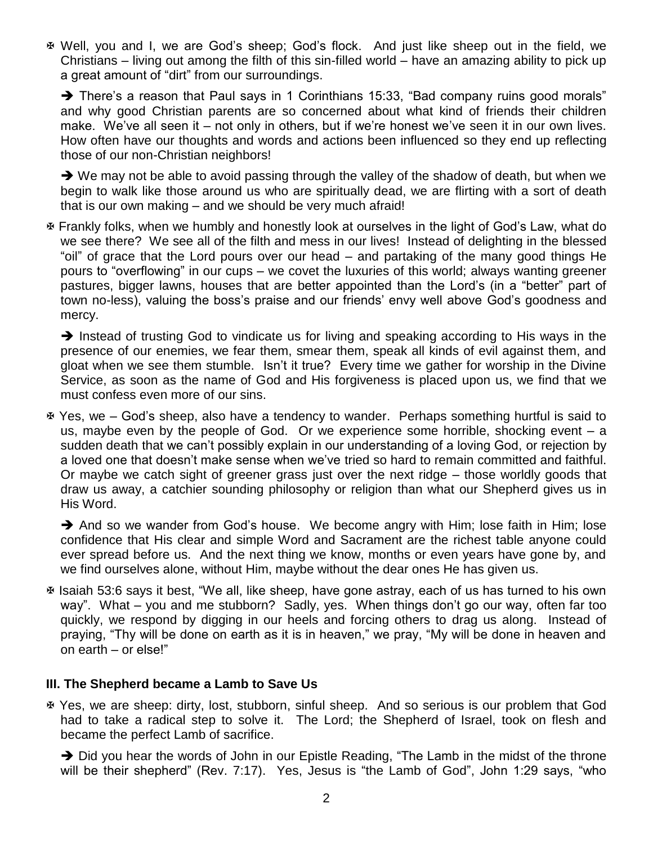Well, you and I, we are God's sheep; God's flock. And just like sheep out in the field, we Christians – living out among the filth of this sin-filled world – have an amazing ability to pick up a great amount of "dirt" from our surroundings.

→ There's a reason that Paul says in 1 Corinthians 15:33, "Bad company ruins good morals" and why good Christian parents are so concerned about what kind of friends their children make. We've all seen it – not only in others, but if we're honest we've seen it in our own lives. How often have our thoughts and words and actions been influenced so they end up reflecting those of our non-Christian neighbors!

 $\rightarrow$  We may not be able to avoid passing through the valley of the shadow of death, but when we begin to walk like those around us who are spiritually dead, we are flirting with a sort of death that is our own making – and we should be very much afraid!

 Frankly folks, when we humbly and honestly look at ourselves in the light of God's Law, what do we see there? We see all of the filth and mess in our lives! Instead of delighting in the blessed "oil" of grace that the Lord pours over our head – and partaking of the many good things He pours to "overflowing" in our cups – we covet the luxuries of this world; always wanting greener pastures, bigger lawns, houses that are better appointed than the Lord's (in a "better" part of town no-less), valuing the boss's praise and our friends' envy well above God's goodness and mercy.

 $\rightarrow$  Instead of trusting God to vindicate us for living and speaking according to His ways in the presence of our enemies, we fear them, smear them, speak all kinds of evil against them, and gloat when we see them stumble. Isn't it true? Every time we gather for worship in the Divine Service, as soon as the name of God and His forgiveness is placed upon us, we find that we must confess even more of our sins.

 Yes, we – God's sheep, also have a tendency to wander. Perhaps something hurtful is said to us, maybe even by the people of God. Or we experience some horrible, shocking event – a sudden death that we can't possibly explain in our understanding of a loving God, or rejection by a loved one that doesn't make sense when we've tried so hard to remain committed and faithful. Or maybe we catch sight of greener grass just over the next ridge – those worldly goods that draw us away, a catchier sounding philosophy or religion than what our Shepherd gives us in His Word.

 $\rightarrow$  And so we wander from God's house. We become angry with Him; lose faith in Him; lose confidence that His clear and simple Word and Sacrament are the richest table anyone could ever spread before us. And the next thing we know, months or even years have gone by, and we find ourselves alone, without Him, maybe without the dear ones He has given us.

 Isaiah 53:6 says it best, "We all, like sheep, have gone astray, each of us has turned to his own way". What – you and me stubborn? Sadly, yes. When things don't go our way, often far too quickly, we respond by digging in our heels and forcing others to drag us along. Instead of praying, "Thy will be done on earth as it is in heaven," we pray, "My will be done in heaven and on earth – or else!"

#### **III. The Shepherd became a Lamb to Save Us**

 Yes, we are sheep: dirty, lost, stubborn, sinful sheep. And so serious is our problem that God had to take a radical step to solve it. The Lord; the Shepherd of Israel, took on flesh and became the perfect Lamb of sacrifice.

→ Did you hear the words of John in our Epistle Reading, "The Lamb in the midst of the throne will be their shepherd" (Rev. 7:17). Yes, Jesus is "the Lamb of God", John 1:29 says, "who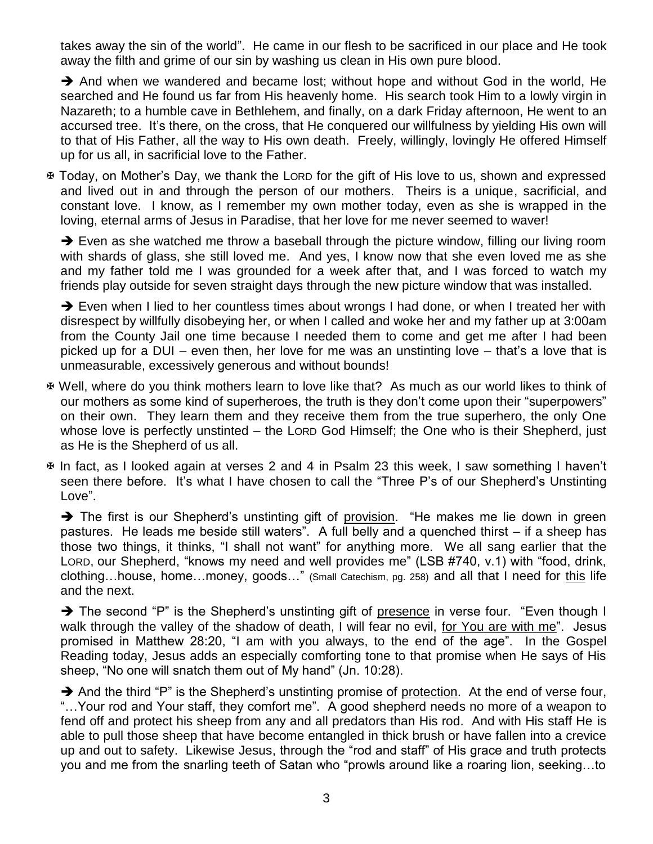takes away the sin of the world". He came in our flesh to be sacrificed in our place and He took away the filth and grime of our sin by washing us clean in His own pure blood.

 $\rightarrow$  And when we wandered and became lost; without hope and without God in the world, He searched and He found us far from His heavenly home. His search took Him to a lowly virgin in Nazareth; to a humble cave in Bethlehem, and finally, on a dark Friday afternoon, He went to an accursed tree. It's there, on the cross, that He conquered our willfulness by yielding His own will to that of His Father, all the way to His own death. Freely, willingly, lovingly He offered Himself up for us all, in sacrificial love to the Father.

 Today, on Mother's Day, we thank the LORD for the gift of His love to us, shown and expressed and lived out in and through the person of our mothers. Theirs is a unique, sacrificial, and constant love. I know, as I remember my own mother today, even as she is wrapped in the loving, eternal arms of Jesus in Paradise, that her love for me never seemed to waver!

 $\rightarrow$  Even as she watched me throw a baseball through the picture window, filling our living room with shards of glass, she still loved me. And yes, I know now that she even loved me as she and my father told me I was grounded for a week after that, and I was forced to watch my friends play outside for seven straight days through the new picture window that was installed.

→ Even when I lied to her countless times about wrongs I had done, or when I treated her with disrespect by willfully disobeying her, or when I called and woke her and my father up at 3:00am from the County Jail one time because I needed them to come and get me after I had been picked up for a DUI – even then, her love for me was an unstinting love – that's a love that is unmeasurable, excessively generous and without bounds!

- Well, where do you think mothers learn to love like that? As much as our world likes to think of our mothers as some kind of superheroes, the truth is they don't come upon their "superpowers" on their own. They learn them and they receive them from the true superhero, the only One whose love is perfectly unstinted – the LORD God Himself; the One who is their Shepherd, just as He is the Shepherd of us all.
- In fact, as I looked again at verses 2 and 4 in Psalm 23 this week, I saw something I haven't seen there before. It's what I have chosen to call the "Three P's of our Shepherd's Unstinting Love".

 $\rightarrow$  The first is our Shepherd's unstinting gift of provision. "He makes me lie down in green pastures. He leads me beside still waters". A full belly and a quenched thirst – if a sheep has those two things, it thinks, "I shall not want" for anything more. We all sang earlier that the LORD, our Shepherd, "knows my need and well provides me" (LSB #740, v.1) with "food, drink, clothing…house, home…money, goods…" (Small Catechism, pg. 258) and all that I need for this life and the next.

→ The second "P" is the Shepherd's unstinting gift of presence in verse four. "Even though I walk through the valley of the shadow of death, I will fear no evil, for You are with me". Jesus promised in Matthew 28:20, "I am with you always, to the end of the age". In the Gospel Reading today, Jesus adds an especially comforting tone to that promise when He says of His sheep, "No one will snatch them out of My hand" (Jn. 10:28).

 $\rightarrow$  And the third "P" is the Shepherd's unstinting promise of protection. At the end of verse four, "…Your rod and Your staff, they comfort me". A good shepherd needs no more of a weapon to fend off and protect his sheep from any and all predators than His rod. And with His staff He is able to pull those sheep that have become entangled in thick brush or have fallen into a crevice up and out to safety. Likewise Jesus, through the "rod and staff" of His grace and truth protects you and me from the snarling teeth of Satan who "prowls around like a roaring lion, seeking…to